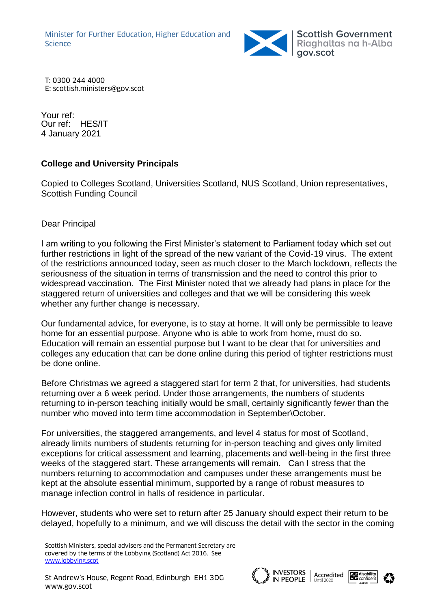Minister for Further Education, Higher Education and Science



T: 0300 244 4000 E: scottish.ministers@gov.scot

Your ref: Our ref: HES/IT 4 January 2021

## **College and University Principals**

Copied to Colleges Scotland, Universities Scotland, NUS Scotland, Union representatives, Scottish Funding Council

## Dear Principal

I am writing to you following the First Minister's statement to Parliament today which set out further restrictions in light of the spread of the new variant of the Covid-19 virus. The extent of the restrictions announced today, seen as much closer to the March lockdown, reflects the seriousness of the situation in terms of transmission and the need to control this prior to widespread vaccination. The First Minister noted that we already had plans in place for the staggered return of universities and colleges and that we will be considering this week whether any further change is necessary.

Our fundamental advice, for everyone, is to stay at home. It will only be permissible to leave home for an essential purpose. Anyone who is able to work from home, must do so. Education will remain an essential purpose but I want to be clear that for universities and colleges any education that can be done online during this period of tighter restrictions must be done online.

Before Christmas we agreed a staggered start for term 2 that, for universities, had students returning over a 6 week period. Under those arrangements, the numbers of students returning to in-person teaching initially would be small, certainly significantly fewer than the number who moved into term time accommodation in September\October.

For universities, the staggered arrangements, and level 4 status for most of Scotland, already limits numbers of students returning for in-person teaching and gives only limited exceptions for critical assessment and learning, placements and well-being in the first three weeks of the staggered start. These arrangements will remain. Can I stress that the numbers returning to accommodation and campuses under these arrangements must be kept at the absolute essential minimum, supported by a range of robust measures to manage infection control in halls of residence in particular.

However, students who were set to return after 25 January should expect their return to be delayed, hopefully to a minimum, and we will discuss the detail with the sector in the coming





Scottish Ministers, special advisers and the Permanent Secretary are covered by the terms of the Lobbying (Scotland) Act 2016. See [www.lobbying.scot](http://www.lobbying.scot/)